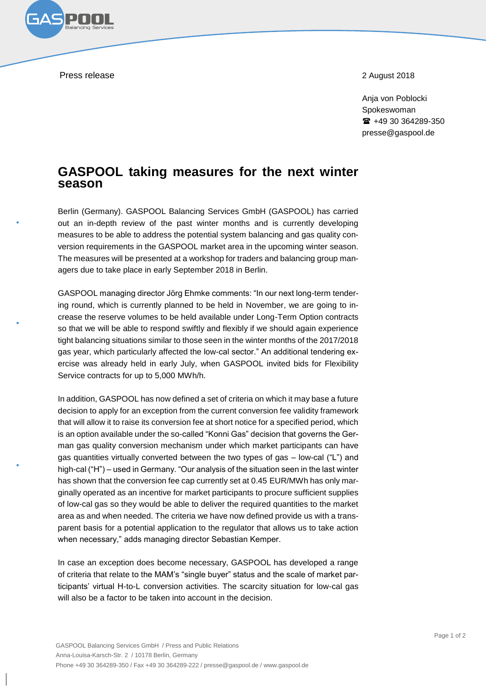Press release 2018

Anja von Poblocki Spokeswoman +49 30 364289-350 presse@gaspool.de

## **GASPOOL taking measures for the next winter season**

Berlin (Germany). GASPOOL Balancing Services GmbH (GASPOOL) has carried out an in-depth review of the past winter months and is currently developing measures to be able to address the potential system balancing and gas quality conversion requirements in the GASPOOL market area in the upcoming winter season. The measures will be presented at a workshop for traders and balancing group managers due to take place in early September 2018 in Berlin.

GASPOOL managing director Jörg Ehmke comments: "In our next long-term tendering round, which is currently planned to be held in November, we are going to increase the reserve volumes to be held available under Long-Term Option contracts so that we will be able to respond swiftly and flexibly if we should again experience tight balancing situations similar to those seen in the winter months of the 2017/2018 gas year, which particularly affected the low-cal sector." An additional tendering exercise was already held in early July, when GASPOOL invited bids for Flexibility Service contracts for up to 5,000 MWh/h.

In addition, GASPOOL has now defined a set of criteria on which it may base a future decision to apply for an exception from the current conversion fee validity framework that will allow it to raise its conversion fee at short notice for a specified period, which is an option available under the so-called "Konni Gas" decision that governs the German gas quality conversion mechanism under which market participants can have gas quantities virtually converted between the two types of gas – low-cal ("L") and high-cal ("H") – used in Germany. "Our analysis of the situation seen in the last winter has shown that the conversion fee cap currently set at 0.45 EUR/MWh has only marginally operated as an incentive for market participants to procure sufficient supplies of low-cal gas so they would be able to deliver the required quantities to the market area as and when needed. The criteria we have now defined provide us with a transparent basis for a potential application to the regulator that allows us to take action when necessary," adds managing director Sebastian Kemper.

In case an exception does become necessary, GASPOOL has developed a range of criteria that relate to the MAM's "single buyer" status and the scale of market participants' virtual H-to-L conversion activities. The scarcity situation for low-cal gas will also be a factor to be taken into account in the decision.